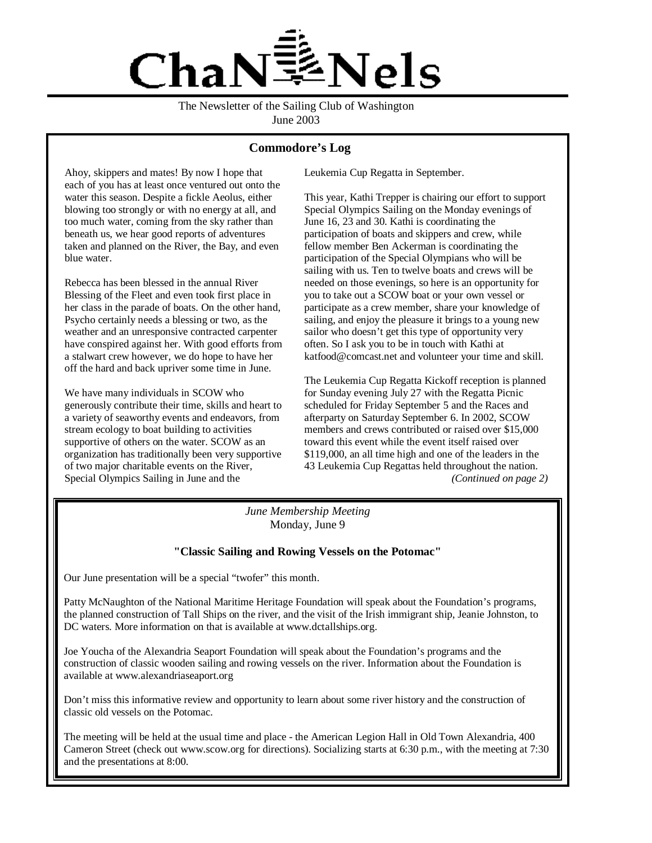

The Newsletter of the Sailing Club of Washington June 2003

### **Commodore's Log**

Ahoy, skippers and mates! By now I hope that each of you has at least once ventured out onto the water this season. Despite a fickle Aeolus, either blowing too strongly or with no energy at all, and too much water, coming from the sky rather than beneath us, we hear good reports of adventures taken and planned on the River, the Bay, and even blue water.

Rebecca has been blessed in the annual River Blessing of the Fleet and even took first place in her class in the parade of boats. On the other hand, Psycho certainly needs a blessing or two, as the weather and an unresponsive contracted carpenter have conspired against her. With good efforts from a stalwart crew however, we do hope to have her off the hard and back upriver some time in June.

We have many individuals in SCOW who generously contribute their time, skills and heart to a variety of seaworthy events and endeavors, from stream ecology to boat building to activities supportive of others on the water. SCOW as an organization has traditionally been very supportive of two major charitable events on the River, Special Olympics Sailing in June and the

Leukemia Cup Regatta in September.

This year, Kathi Trepper is chairing our effort to support Special Olympics Sailing on the Monday evenings of June 16, 23 and 30. Kathi is coordinating the participation of boats and skippers and crew, while fellow member Ben Ackerman is coordinating the participation of the Special Olympians who will be sailing with us. Ten to twelve boats and crews will be needed on those evenings, so here is an opportunity for you to take out a SCOW boat or your own vessel or participate as a crew member, share your knowledge of sailing, and enjoy the pleasure it brings to a young new sailor who doesn't get this type of opportunity very often. So I ask you to be in touch with Kathi at katfood@comcast.net and volunteer your time and skill.

The Leukemia Cup Regatta Kickoff reception is planned for Sunday evening July 27 with the Regatta Picnic scheduled for Friday September 5 and the Races and afterparty on Saturday September 6. In 2002, SCOW members and crews contributed or raised over \$15,000 toward this event while the event itself raised over \$119,000, an all time high and one of the leaders in the 43 Leukemia Cup Regattas held throughout the nation. *(Continued on page 2)*

*June Membership Meeting* Monday, June 9

#### **"Classic Sailing and Rowing Vessels on the Potomac"**

Our June presentation will be a special "twofer" this month.

Patty McNaughton of the National Maritime Heritage Foundation will speak about the Foundation's programs, the planned construction of Tall Ships on the river, and the visit of the Irish immigrant ship, Jeanie Johnston, to DC waters. More information on that is available at www.dctallships.org.

Joe Youcha of the Alexandria Seaport Foundation will speak about the Foundation's programs and the construction of classic wooden sailing and rowing vessels on the river. Information about the Foundation is available at www.alexandriaseaport.org

Don't miss this informative review and opportunity to learn about some river history and the construction of classic old vessels on the Potomac.

The meeting will be held at the usual time and place - the American Legion Hall in Old Town Alexandria, 400 Cameron Street (check out www.scow.org for directions). Socializing starts at 6:30 p.m., with the meeting at 7:30 and the presentations at 8:00.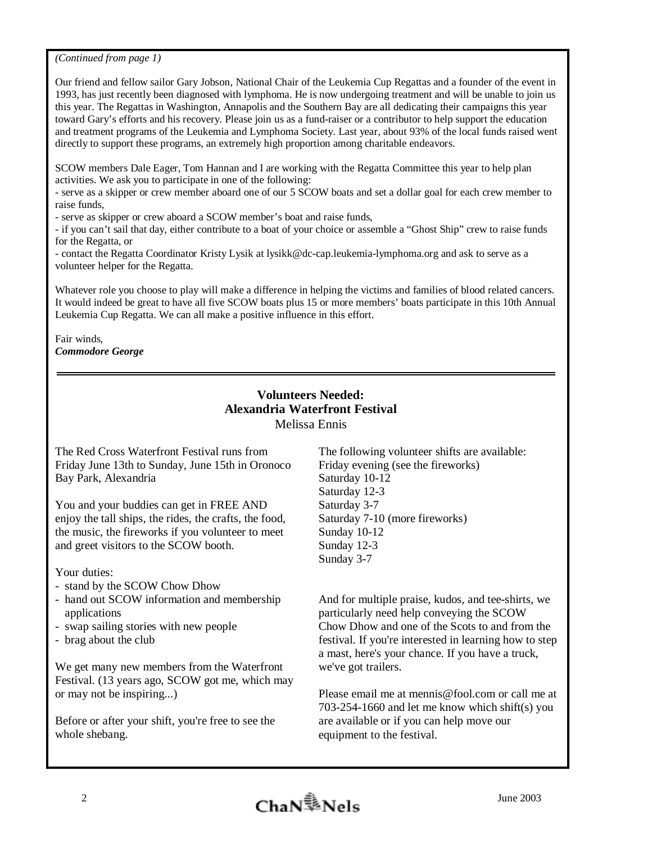*(Continued from page 1)* 

Our friend and fellow sailor Gary Jobson, National Chair of the Leukemia Cup Regattas and a founder of the event in 1993, has just recently been diagnosed with lymphoma. He is now undergoing treatment and will be unable to join us this year. The Regattas in Washington, Annapolis and the Southern Bay are all dedicating their campaigns this year toward Gary's efforts and his recovery. Please join us as a fund-raiser or a contributor to help support the education and treatment programs of the Leukemia and Lymphoma Society. Last year, about 93% of the local funds raised went directly to support these programs, an extremely high proportion among charitable endeavors.

SCOW members Dale Eager, Tom Hannan and I are working with the Regatta Committee this year to help plan activities. We ask you to participate in one of the following:

- serve as a skipper or crew member aboard one of our 5 SCOW boats and set a dollar goal for each crew member to raise funds,

- serve as skipper or crew aboard a SCOW member's boat and raise funds,

- if you can't sail that day, either contribute to a boat of your choice or assemble a "Ghost Ship" crew to raise funds for the Regatta, or

- contact the Regatta Coordinator Kristy Lysik at lysikk@dc-cap.leukemia-lymphoma.org and ask to serve as a volunteer helper for the Regatta.

Whatever role you choose to play will make a difference in helping the victims and families of blood related cancers. It would indeed be great to have all five SCOW boats plus 15 or more members' boats participate in this 10th Annual Leukemia Cup Regatta. We can all make a positive influence in this effort.

Fair winds, *Commodore George* 

# **Volunteers Needed: Alexandria Waterfront Festival**  Melissa Ennis

The Red Cross Waterfront Festival runs from Friday June 13th to Sunday, June 15th in Oronoco Bay Park, Alexandria

You and your buddies can get in FREE AND enjoy the tall ships, the rides, the crafts, the food, the music, the fireworks if you volunteer to meet and greet visitors to the SCOW booth.

Your duties:

- stand by the SCOW Chow Dhow
- hand out SCOW information and membership applications
- swap sailing stories with new people
- brag about the club

We get many new members from the Waterfront Festival. (13 years ago, SCOW got me, which may or may not be inspiring...)

Before or after your shift, you're free to see the whole shebang.

The following volunteer shifts are available: Friday evening (see the fireworks) Saturday 10-12 Saturday 12-3 Saturday 3-7 Saturday 7-10 (more fireworks) Sunday 10-12 Sunday 12-3 Sunday 3-7

And for multiple praise, kudos, and tee-shirts, we particularly need help conveying the SCOW Chow Dhow and one of the Scots to and from the festival. If you're interested in learning how to step a mast, here's your chance. If you have a truck, we've got trailers.

Please email me at mennis@fool.com or call me at 703-254-1660 and let me know which shift(s) you are available or if you can help move our equipment to the festival.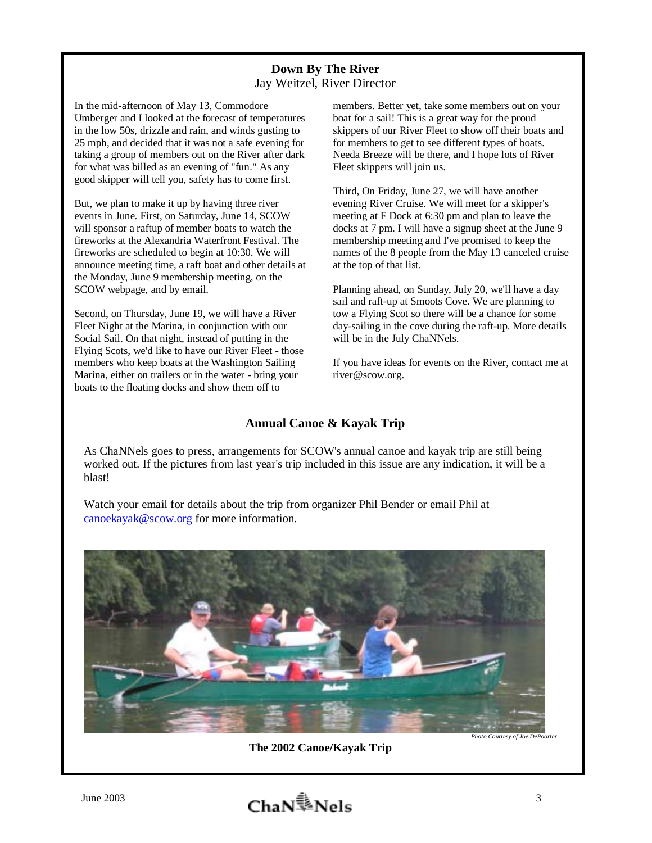# **Down By The River**  Jay Weitzel, River Director

In the mid-afternoon of May 13, Commodore Umberger and I looked at the forecast of temperatures in the low 50s, drizzle and rain, and winds gusting to 25 mph, and decided that it was not a safe evening for taking a group of members out on the River after dark for what was billed as an evening of "fun." As any good skipper will tell you, safety has to come first.

But, we plan to make it up by having three river events in June. First, on Saturday, June 14, SCOW will sponsor a raftup of member boats to watch the fireworks at the Alexandria Waterfront Festival. The fireworks are scheduled to begin at 10:30. We will announce meeting time, a raft boat and other details at the Monday, June 9 membership meeting, on the SCOW webpage, and by email.

Second, on Thursday, June 19, we will have a River Fleet Night at the Marina, in conjunction with our Social Sail. On that night, instead of putting in the Flying Scots, we'd like to have our River Fleet - those members who keep boats at the Washington Sailing Marina, either on trailers or in the water - bring your boats to the floating docks and show them off to

members. Better yet, take some members out on your boat for a sail! This is a great way for the proud skippers of our River Fleet to show off their boats and for members to get to see different types of boats. Needa Breeze will be there, and I hope lots of River Fleet skippers will join us.

Third, On Friday, June 27, we will have another evening River Cruise. We will meet for a skipper's meeting at F Dock at 6:30 pm and plan to leave the docks at 7 pm. I will have a signup sheet at the June 9 membership meeting and I've promised to keep the names of the 8 people from the May 13 canceled cruise at the top of that list.

Planning ahead, on Sunday, July 20, we'll have a day sail and raft-up at Smoots Cove. We are planning to tow a Flying Scot so there will be a chance for some day-sailing in the cove during the raft-up. More details will be in the July ChaNNels.

If you have ideas for events on the River, contact me at river@scow.org.

# **Annual Canoe & Kayak Trip**

As ChaNNels goes to press, arrangements for SCOW's annual canoe and kayak trip are still being worked out. If the pictures from last year's trip included in this issue are any indication, it will be a blast!

Watch your email for details about the trip from organizer Phil Bender or email Phil at canoekayak@scow.org for more information.



**The 2002 Canoe/Kayak Trip** 

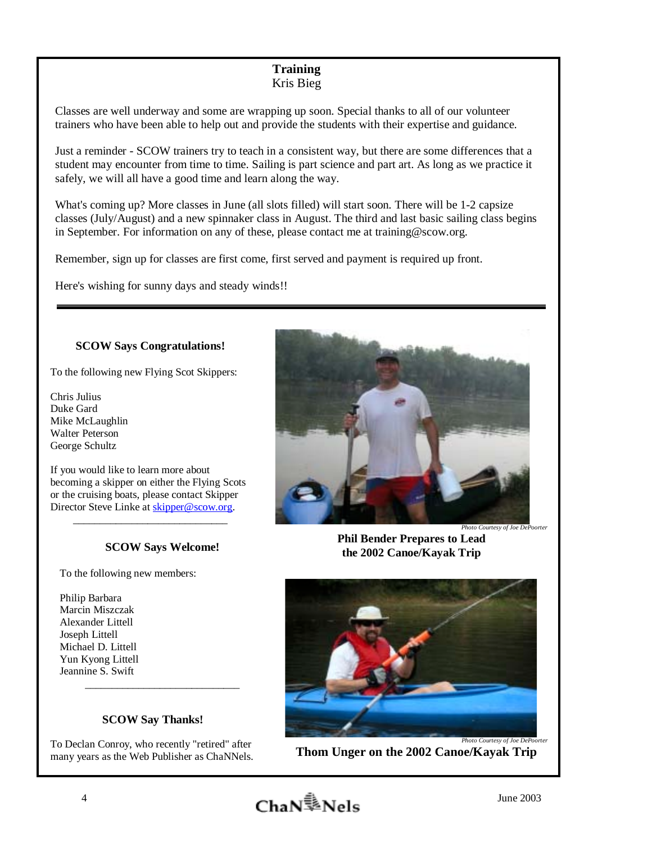# **Training**  Kris Bieg

Classes are well underway and some are wrapping up soon. Special thanks to all of our volunteer trainers who have been able to help out and provide the students with their expertise and guidance.

Just a reminder - SCOW trainers try to teach in a consistent way, but there are some differences that a student may encounter from time to time. Sailing is part science and part art. As long as we practice it safely, we will all have a good time and learn along the way.

What's coming up? More classes in June (all slots filled) will start soon. There will be 1-2 capsize classes (July/August) and a new spinnaker class in August. The third and last basic sailing class begins in September. For information on any of these, please contact me at training@scow.org.

Remember, sign up for classes are first come, first served and payment is required up front.

Here's wishing for sunny days and steady winds!!

# **SCOW Says Congratulations!**

To the following new Flying Scot Skippers:

Chris Julius Duke Gard Mike McLaughlin Walter Peterson George Schultz

 becoming a skipper on either the Flying Scots If you would like to learn more about or the cruising boats, please contact Skipper Director Steve Linke at skipper@scow.org.

\_\_\_\_\_\_\_\_\_\_\_\_\_\_\_\_\_\_\_\_\_\_\_\_\_\_\_\_\_

# **SCOW Says Welcome!**

To the following new members:

Philip Barbara Marcin Miszczak Alexander Littell Joseph Littell Michael D. Littell Yun Kyong Littell Jeannine S. Swift \_\_\_\_\_\_\_\_\_\_\_\_\_\_\_\_\_\_\_\_\_\_\_\_\_\_\_\_\_

# **SCOW Say Thanks!**

To Declan Conroy, who recently "retired" after many years as the Web Publisher as ChaNNels.



**Phil Bender Prepares to Lead the 2002 Canoe/Kayak Trip** 



**Thom Unger on the 2002 Canoe/Kayak Trip** 

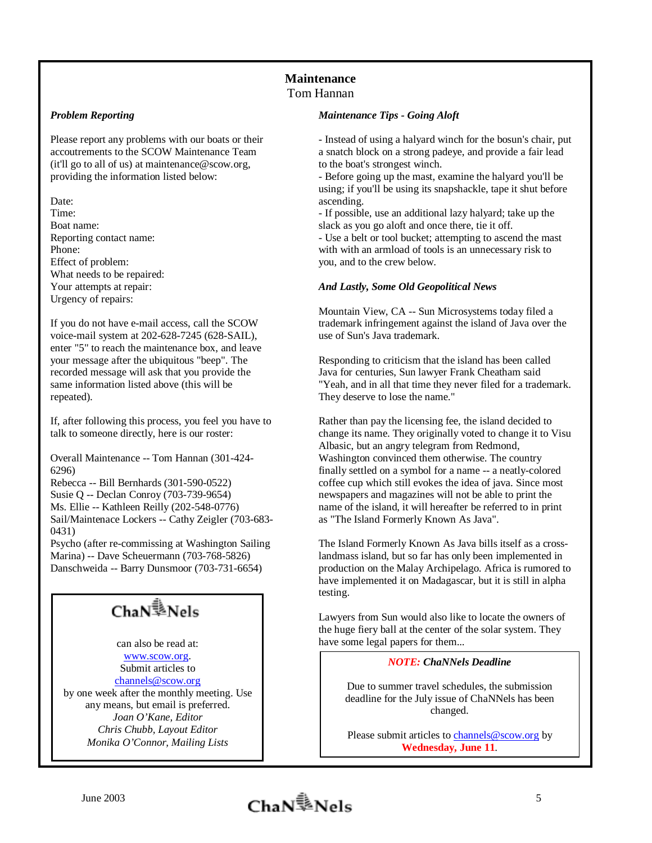# **Maintenance**  Tom Hannan

#### *Problem Reporting*

Please report any problems with our boats or their accoutrements to the SCOW Maintenance Team (it'll go to all of us) at maintenance@scow.org, providing the information listed below:

Date: Time: Boat name: Reporting contact name: Phone: Effect of problem: What needs to be repaired: Your attempts at repair: Urgency of repairs:

If you do not have e-mail access, call the SCOW voice-mail system at 202-628-7245 (628-SAIL), enter "5" to reach the maintenance box, and leave your message after the ubiquitous "beep". The recorded message will ask that you provide the same information listed above (this will be repeated).

If, after following this process, you feel you have to talk to someone directly, here is our roster:

Overall Maintenance -- Tom Hannan (301-424- 6296)

Rebecca -- Bill Bernhards (301-590-0522) Susie Q -- Declan Conroy (703-739-9654) Ms. Ellie -- Kathleen Reilly (202-548-0776) Sail/Maintenace Lockers -- Cathy Zeigler (703-683- 0431)

Psycho (after re-commissing at Washington Sailing Marina) -- Dave Scheuermann (703-768-5826) Danschweida -- Barry Dunsmoor (703-731-6654)

# ChaN<sup>1</sup>/<sub>2</sub>Nels

can also be read at: www.scow.org. Submit articles to channels@scow.org by one week after the monthly meeting. Use any means, but email is preferred. *Joan O'Kane, Editor Chris Chubb, Layout Editor Monika O'Connor, Mailing Lists*

#### *Maintenance Tips - Going Aloft*

- Instead of using a halyard winch for the bosun's chair, put a snatch block on a strong padeye, and provide a fair lead to the boat's strongest winch.

- Before going up the mast, examine the halyard you'll be using; if you'll be using its snapshackle, tape it shut before ascending.

- If possible, use an additional lazy halyard; take up the slack as you go aloft and once there, tie it off. - Use a belt or tool bucket; attempting to ascend the mast

with with an armload of tools is an unnecessary risk to you, and to the crew below.

#### *And Lastly, Some Old Geopolitical News*

Mountain View, CA -- Sun Microsystems today filed a trademark infringement against the island of Java over the use of Sun's Java trademark.

Responding to criticism that the island has been called Java for centuries, Sun lawyer Frank Cheatham said "Yeah, and in all that time they never filed for a trademark. They deserve to lose the name."

Rather than pay the licensing fee, the island decided to change its name. They originally voted to change it to Visu Albasic, but an angry telegram from Redmond, Washington convinced them otherwise. The country finally settled on a symbol for a name -- a neatly-colored coffee cup which still evokes the idea of java. Since most newspapers and magazines will not be able to print the name of the island, it will hereafter be referred to in print as "The Island Formerly Known As Java".

The Island Formerly Known As Java bills itself as a crosslandmass island, but so far has only been implemented in production on the Malay Archipelago. Africa is rumored to have implemented it on Madagascar, but it is still in alpha testing.

Lawyers from Sun would also like to locate the owners of the huge fiery ball at the center of the solar system. They have some legal papers for them...

#### *NOTE: ChaNNels Deadline*

Due to summer travel schedules, the submission deadline for the July issue of ChaNNels has been changed.

Please submit articles to channels@scow.org by **Wednesday, June 11**.

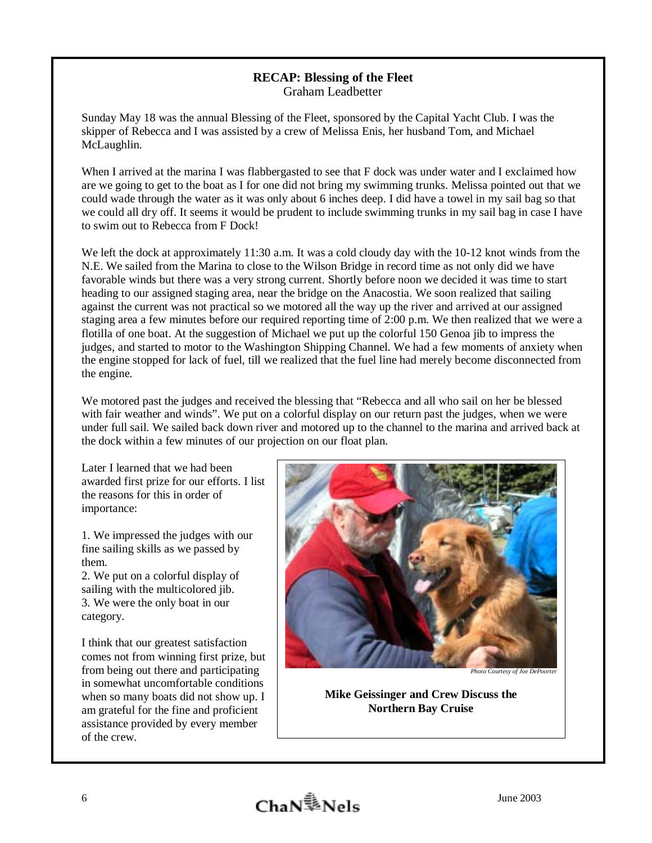# **RECAP: Blessing of the Fleet**  Graham Leadbetter

Sunday May 18 was the annual Blessing of the Fleet, sponsored by the Capital Yacht Club. I was the skipper of Rebecca and I was assisted by a crew of Melissa Enis, her husband Tom, and Michael McLaughlin.

When I arrived at the marina I was flabbergasted to see that F dock was under water and I exclaimed how are we going to get to the boat as I for one did not bring my swimming trunks. Melissa pointed out that we could wade through the water as it was only about 6 inches deep. I did have a towel in my sail bag so that we could all dry off. It seems it would be prudent to include swimming trunks in my sail bag in case I have to swim out to Rebecca from F Dock!

We left the dock at approximately 11:30 a.m. It was a cold cloudy day with the 10-12 knot winds from the N.E. We sailed from the Marina to close to the Wilson Bridge in record time as not only did we have favorable winds but there was a very strong current. Shortly before noon we decided it was time to start heading to our assigned staging area, near the bridge on the Anacostia. We soon realized that sailing against the current was not practical so we motored all the way up the river and arrived at our assigned staging area a few minutes before our required reporting time of 2:00 p.m. We then realized that we were a flotilla of one boat. At the suggestion of Michael we put up the colorful 150 Genoa jib to impress the judges, and started to motor to the Washington Shipping Channel. We had a few moments of anxiety when the engine stopped for lack of fuel, till we realized that the fuel line had merely become disconnected from the engine.

We motored past the judges and received the blessing that "Rebecca and all who sail on her be blessed with fair weather and winds". We put on a colorful display on our return past the judges, when we were under full sail. We sailed back down river and motored up to the channel to the marina and arrived back at the dock within a few minutes of our projection on our float plan.

Later I learned that we had been awarded first prize for our efforts. I list the reasons for this in order of importance:

1. We impressed the judges with our fine sailing skills as we passed by them.

2. We put on a colorful display of sailing with the multicolored jib. 3. We were the only boat in our category.

I think that our greatest satisfaction comes not from winning first prize, but from being out there and participating in somewhat uncomfortable conditions when so many boats did not show up. I am grateful for the fine and proficient assistance provided by every member of the crew.



**Photo Courtesy of Joe DePoorter** 

**Mike Geissinger and Crew Discuss the Northern Bay Cruise**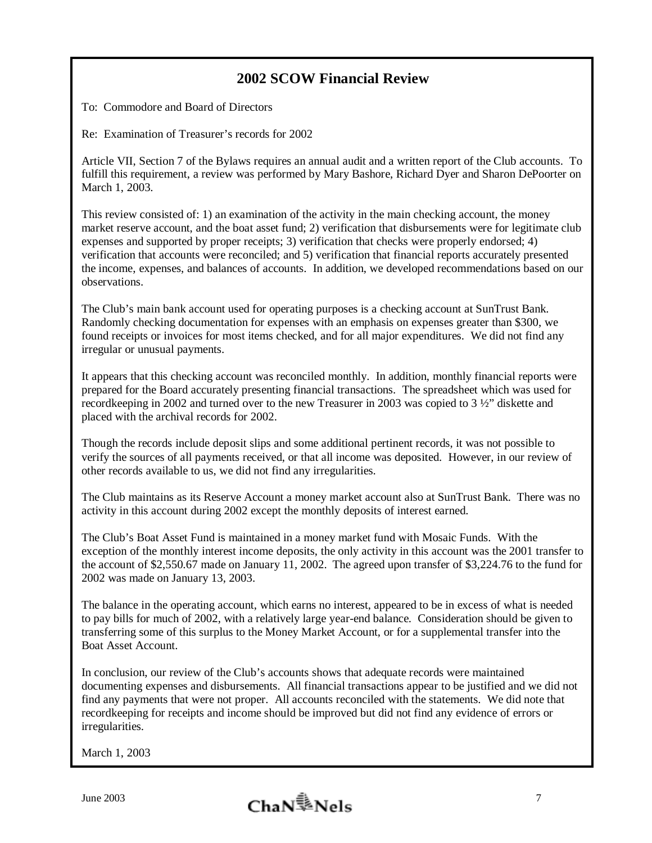# **2002 SCOW Financial Review**

To: Commodore and Board of Directors

Re: Examination of Treasurer's records for 2002

Article VII, Section 7 of the Bylaws requires an annual audit and a written report of the Club accounts. To fulfill this requirement, a review was performed by Mary Bashore, Richard Dyer and Sharon DePoorter on March 1, 2003.

This review consisted of: 1) an examination of the activity in the main checking account, the money market reserve account, and the boat asset fund; 2) verification that disbursements were for legitimate club expenses and supported by proper receipts; 3) verification that checks were properly endorsed; 4) verification that accounts were reconciled; and 5) verification that financial reports accurately presented the income, expenses, and balances of accounts. In addition, we developed recommendations based on our observations.

The Club's main bank account used for operating purposes is a checking account at SunTrust Bank. Randomly checking documentation for expenses with an emphasis on expenses greater than \$300, we found receipts or invoices for most items checked, and for all major expenditures. We did not find any irregular or unusual payments.

It appears that this checking account was reconciled monthly. In addition, monthly financial reports were prepared for the Board accurately presenting financial transactions. The spreadsheet which was used for recordkeeping in 2002 and turned over to the new Treasurer in 2003 was copied to 3 ½" diskette and placed with the archival records for 2002.

Though the records include deposit slips and some additional pertinent records, it was not possible to verify the sources of all payments received, or that all income was deposited. However, in our review of other records available to us, we did not find any irregularities.

The Club maintains as its Reserve Account a money market account also at SunTrust Bank. There was no activity in this account during 2002 except the monthly deposits of interest earned.

The Club's Boat Asset Fund is maintained in a money market fund with Mosaic Funds. With the exception of the monthly interest income deposits, the only activity in this account was the 2001 transfer to the account of \$2,550.67 made on January 11, 2002. The agreed upon transfer of \$3,224.76 to the fund for 2002 was made on January 13, 2003.

The balance in the operating account, which earns no interest, appeared to be in excess of what is needed to pay bills for much of 2002, with a relatively large year-end balance. Consideration should be given to transferring some of this surplus to the Money Market Account, or for a supplemental transfer into the Boat Asset Account.

In conclusion, our review of the Club's accounts shows that adequate records were maintained documenting expenses and disbursements. All financial transactions appear to be justified and we did not find any payments that were not proper. All accounts reconciled with the statements. We did note that recordkeeping for receipts and income should be improved but did not find any evidence of errors or irregularities.

March 1, 2003